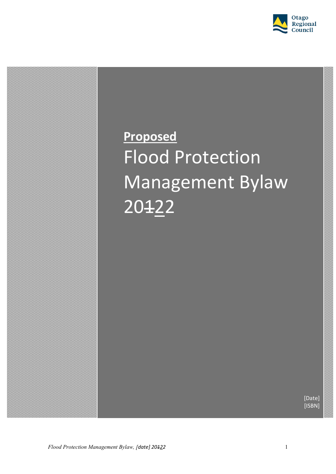

# **Proposed** Flood Protection Management Bylaw 20422

[Date] [ISBN]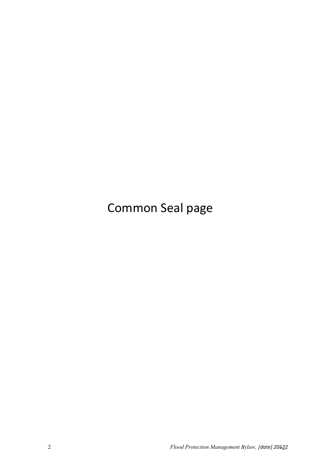Common Seal page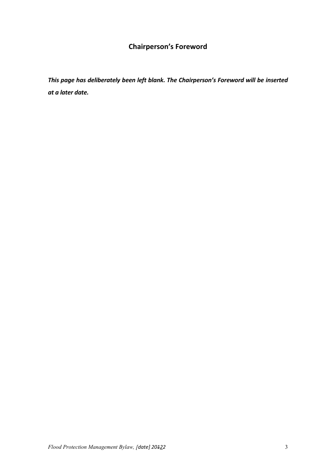### **Chairperson's Foreword**

*This page has deliberately been left blank. The Chairperson's Foreword will be inserted at a later date.*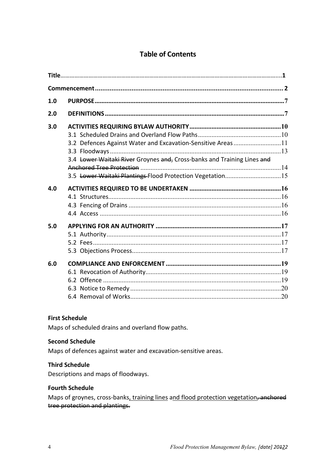### **Table of Contents**

| 1.0 |                                                                         |  |  |  |
|-----|-------------------------------------------------------------------------|--|--|--|
| 2.0 |                                                                         |  |  |  |
| 3.0 |                                                                         |  |  |  |
|     |                                                                         |  |  |  |
|     | 3.2 Defences Against Water and Excavation-Sensitive Areas11             |  |  |  |
|     |                                                                         |  |  |  |
|     | 3.4 Lower Waitaki River Groynes and, Cross-banks and Training Lines and |  |  |  |
|     |                                                                         |  |  |  |
|     | 3.5 Lower Waitaki Plantings-Flood Protection Vegetation15               |  |  |  |
| 4.0 |                                                                         |  |  |  |
|     |                                                                         |  |  |  |
|     |                                                                         |  |  |  |
|     |                                                                         |  |  |  |
| 5.0 |                                                                         |  |  |  |
|     |                                                                         |  |  |  |
|     |                                                                         |  |  |  |
|     |                                                                         |  |  |  |
| 6.0 |                                                                         |  |  |  |
|     |                                                                         |  |  |  |
|     |                                                                         |  |  |  |
|     |                                                                         |  |  |  |
|     |                                                                         |  |  |  |

#### **[First Schedule](#page-19-2)**

[Maps of scheduled drains and overland flow paths.](#page-20-0)

#### **[Second Schedule](#page-21-0)**

[Maps of defences against water and excavation-sensitive areas.](#page-22-0)

#### **[Third Schedule](#page-23-0)**

[Descriptions and maps of floodways.](#page-24-0)

#### **[Fourth Schedule](#page-23-0)**

Maps of groynes, cross-banks, training lines and flood protection vegetation, anchored [tree protection and plantings.](#page-24-0)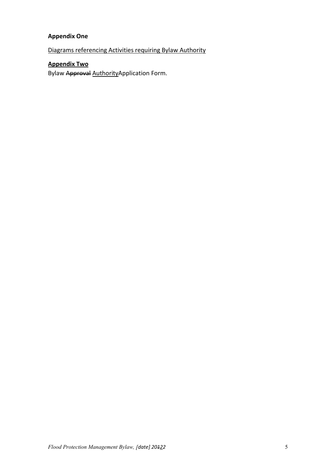#### **[Appendix One](#page-27-0)**

#### Diagrams referencing Activities requiring Bylaw Authority

#### **Appendix Two**

Bylaw Approval [AuthorityApplication Form.](#page-29-0)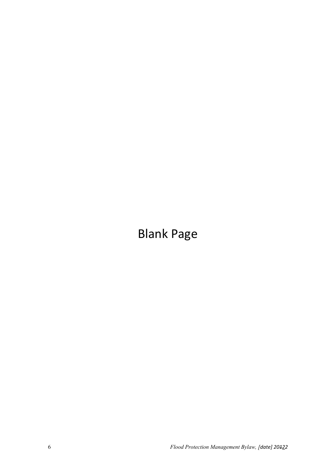## Blank Page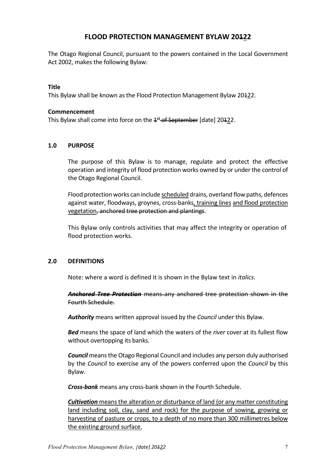#### **FLOOD PROTECTION MANAGEMENT BYLAW 20422**

The Otago Regional Council, pursuant to the powers contained in the Local Government Act 2002, makes the following Bylaw:

#### **Title**

This Bylaw shall be known as the Flood Protection Management Bylaw 20422.

#### **Commencement**

This Bylaw shall come into force on the  $4<sup>st</sup>$  of September [date] 20422.

#### <span id="page-6-0"></span>**1.0 PURPOSE**

The purpose of this Bylaw is to manage, regulate and protect the effective operation and integrity of flood protection works owned by or under the control of the Otago Regional Council.

Flood protection works can include scheduled drains, overland flow paths, defences against water, floodways, groynes, cross-banks, training lines and flood protection vegetation, anchored tree protection and plantings.

This Bylaw only controls activities that may affect the integrity or operation of flood protection works.

#### <span id="page-6-1"></span>**2.0 DEFINITIONS**

Note: where a word is defined it is shown in the Bylaw text in *italics*.

*Anchored Tree Protection* means any anchored tree protection shown in the Fourth Schedule.

*Authority* means written approval issued by the *Council* under this Bylaw.

*Bed* means the space of land which the waters of the *river* cover at its fullest flow without overtopping its banks.

*Council* means the Otago Regional Council and includes any person duly authorised by the *Council* to exercise any of the powers conferred upon the *Council* by this Bylaw.

*Cross-bank* means any cross-bank shown in the Fourth Schedule.

*Cultivation* means the alteration or disturbance of land (or any matter constituting land including soil, clay, sand and rock) for the purpose of sowing, growing or harvesting of pasture or crops, to a depth of no more than 300 millimetres below the existing ground surface.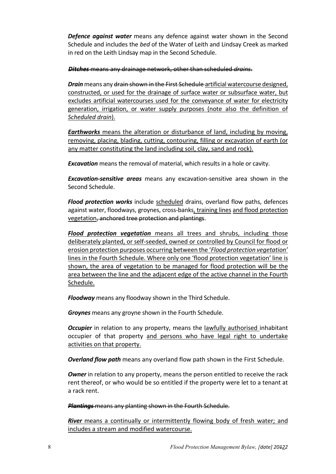*Defence against water* means any defence against water shown in the Second Schedule and includes the *bed* of the Water of Leith and Lindsay Creek as marked in red on the Leith Lindsay map in the Second Schedule.

#### *Ditches* means any drainage network, other than scheduled *drains*.

*Drain* means any drain shown in the First Schedule artificial watercourse designed, constructed, or used for the drainage of surface water or subsurface water, but excludes artificial watercourses used for the conveyance of water for electricity generation, irrigation, or water supply purposes (note also the definition of *Scheduled drain*).

*Earthworks* means the alteration or disturbance of land, including by moving, removing, placing, blading, cutting, contouring, filling or excavation of earth (or any matter constituting the land including soil, clay, sand and rock).

*Excavation* means the removal of material, which results in a hole or cavity.

*Excavation-sensitive areas* means any excavation-sensitive area shown in the Second Schedule.

*Flood protection works* include scheduled drains, overland flow paths, defences against water, floodways, groynes, cross-banks, training lines and flood protection vegetation, anchored tree protection and plantings.

*Flood protection vegetation* means all trees and shrubs, including those deliberately planted, or self-seeded, owned or controlled by Council for flood or erosion protection purposes occurring between the '*Flood protection vegetation'*  lines in the Fourth Schedule. Where only one 'flood protection vegetation' line is shown, the area of vegetation to be managed for flood protection will be the area between the line and the adjacent edge of the active channel in the Fourth Schedule.

*Floodway* means any floodway shown in the Third Schedule.

*Groynes* means any groyne shown in the Fourth Schedule.

*Occupier* in relation to any property, means the lawfully authorised inhabitant occupier of that property and persons who have legal right to undertake activities on that property.

*Overland flow path* means any overland flow path shown in the First Schedule.

**Owner** in relation to any property, means the person entitled to receive the rack rent thereof, or who would be so entitled if the property were let to a tenant at a rack rent.

*Plantings* means any planting shown in the Fourth Schedule.

*River* means a continually or intermittently flowing body of fresh water; and includes a stream and modified watercourse.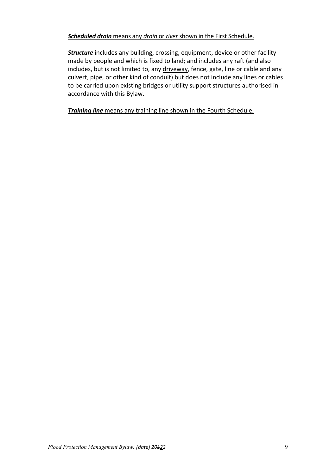**Structure** includes any building, crossing, equipment, device or other facility made by people and which is fixed to land; and includes any raft (and also includes, but is not limited to, any driveway, fence, gate, line or cable and any culvert, pipe, or other kind of conduit) but does not include any lines or cables to be carried upon existing bridges or utility support structures authorised in accordance with this Bylaw.

*Training line* means any training line shown in the Fourth Schedule.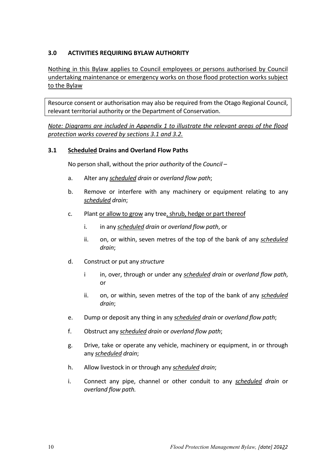#### <span id="page-9-0"></span>**3.0 ACTIVITIES REQUIRING BYLAW AUTHORITY**

#### Nothing in this Bylaw applies to Council employees or persons authorised by Council undertaking maintenance or emergency works on those flood protection works subject to the Bylaw

Resource consent or authorisation may also be required from the Otago Regional Council, relevant territorial authority or the Department of Conservation.

*Note: Diagrams are included in Appendix 1 to illustrate the relevant areas of the flood protection works covered by sections 3.1 and 3.2.*

#### <span id="page-9-1"></span>**3.1 Scheduled Drains and Overland Flow Paths**

No person shall, without the prior *authority* of the *Council* –

- a. Alter any *scheduled drain* or *overland flow path*;
- b. Remove or interfere with any machinery or equipment relating to any *scheduled drain*;
- c. Plant or allow to grow any tree, shrub, hedge or part thereof
	- i. in any *scheduled drain* or *overland flow path*, or
	- ii. on, or within, seven metres of the top of the bank of any *scheduled drain*;
- d. Construct or put any *structure*
	- i in, over, through or under any *scheduled drain* or *overland flow path*, or
	- ii. on, or within, seven metres of the top of the bank of any *scheduled drain*;
- e. Dump or deposit any thing in any *scheduled drain* or *overland flow path*;
- f. Obstruct any *scheduled drain* or *overland flow path*;
- g. Drive, take or operate any vehicle, machinery or equipment, in or through any *scheduled drain*;
- h. Allow livestock in or through any *scheduled drain*;
- <span id="page-9-2"></span>i. Connect any pipe, channel or other conduit to any *scheduled drain* or *overland flow path.*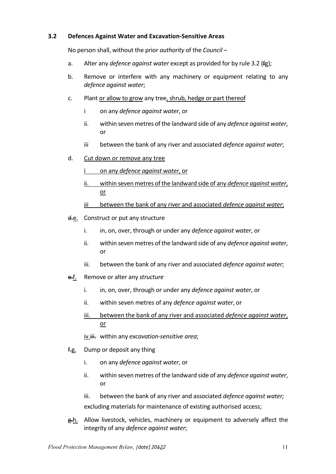#### **3.2 Defences Against Water and Excavation-Sensitive Areas**

No person shall, without the prior *authority* of the *Council* –

- a. Alter any *defence against water* except as provided for by rule 3.2 (fg);
- b. Remove or interfere with any machinery or equipment relating to any *defence against water*;
- c. Plant or allow to grow any tree, shrub, hedge or part thereof
	- i on any *defence against water*, or
	- ii. within seven metres of the landward side of any *defence against water*, or
	- iii between the bank of any river and associated *defence against water*;
- d. Cut down or remove any tree
	- i on any *defence against water*, or
	- ii. within seven metres of the landward side of any *defence against water*, or
	- iii between the bank of any river and associated *defence against water*;
- d.e. Construct or put any structure
	- i. in, on, over, through or under any *defence against water*, or
	- ii. within seven metres of the landward side of any *defence against water*, or
	- iii. between the bank of any river and associated *defence against water*;
- e.f. Remove or alter any *structure*
	- i. in, on, over, through or under any *defence against water*, or
	- ii. within seven metres of any *defence against water*, or
	- iii. between the bank of any river and associated *defence against water*, or

iv.<del>iii.</del> within any *excavation-sensitive area*;

- f.g. Dump or deposit any thing
	- i. on any *defence against water*, or
	- ii. within seven metres of the landward side of any *defence against water*, or
	- iii. between the bank of any river and associated *defence against water;* excluding materials for maintenance of existing authorised access;
- $g-h$ . Allow livestock, vehicles, machinery or equipment to adversely affect the integrity of any *defence against water*;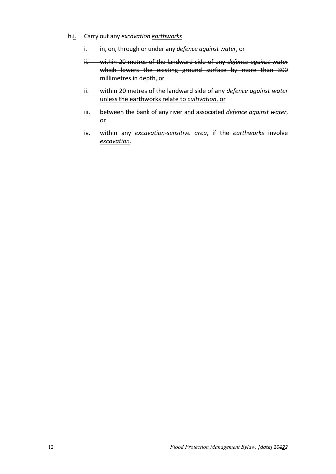- h.i. Carry out any *excavation earthworks*
	- i. in, on, through or under any *defence against water*, or
	- ii. within 20 metres of the landward side of any *defence against water* which lowers the existing ground surface by more than 300 millimetres in depth, or
	- ii. within 20 metres of the landward side of any *defence against water* unless the earthworks relate to *cultivation*, or
	- iii. between the bank of any river and associated *defence against water*, or
	- iv. within any *excavation*-*sensitive area*, if the *earthworks* involve *excavation*.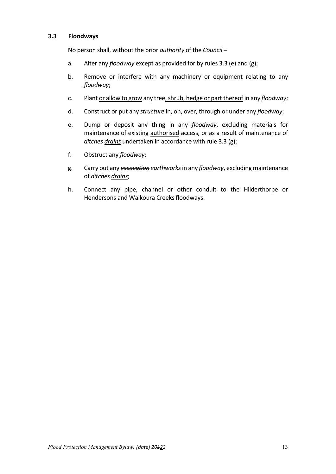#### <span id="page-12-0"></span>**3.3 Floodways**

No person shall, without the prior *authority* of the *Council* –

- a. Alter any *floodway* except as provided for by rules 3.3 (e) and (g);
- b. Remove or interfere with any machinery or equipment relating to any *floodway*;
- c. Plant or allow to grow any tree, shrub, hedge or part thereof in any *floodway*;
- d. Construct or put any *structure* in, on, over, through or under any *floodway*;
- e. Dump or deposit any thing in any *floodway*, excluding materials for maintenance of existing authorised access, or as a result of maintenance of *ditches drains* undertaken in accordance with rule 3.3 (g);
- f. Obstruct any *floodway*;
- g. Carry out any *excavation earthworks*in any *floodway*, excluding maintenance of *ditches drains*;
- h. Connect any pipe, channel or other conduit to the Hilderthorpe or Hendersons and Waikoura Creeks floodways.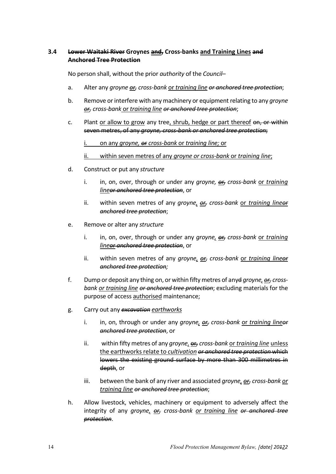#### <span id="page-13-0"></span>**3.4 Lower Waitaki River Groynes and, Cross-banks and Training Lines and Anchored Tree Protection**

No person shall, without the prior *authority* of the *Council*–

- a. Alter any *groyne*  $\frac{\partial F}{\partial r}$  *cross-bank* or *training line* or anchored tree protection;
- b. Remove or interfere with any machinery or equipment relating to any *groyne or, cross-bank* or *training line or anchored tree protection*;
- c. Plant or allow to grow any tree, shrub, hedge or part thereof on, or within seven metres, of any *groyne, cross-bank or anchored tree protection*;

#### i. on any *groyne, or cross-bank* or *training line;* or

ii. within seven metres of any *groyne or cross-bank* or *training line*;

- d. Construct or put any *structure*
	- i. in, on, over, through or under any *groyne, of cross-bank* or *training lineor anchored tree protection*, or
	- ii. within seven metres of any *groyne, or, cross-bank* or *training lineor anchored tree protection*;
- e. Remove or alter any *structure*
	- i. in, on, over, through or under any *groyne, or, cross-bank* or *training lineor anchored tree protection*, or
	- ii. within seven metres of any *groyne*, or *cross-bank* or *training lineer anchored tree protection;*
- f. Dump or deposit any thing on, or within fifty metres of any<del>d</del> groyne, **or**, cross*bank or training line or anchored tree protection*; excluding materials for the purpose of access authorised maintenance;
- g. Carry out any *excavation earthworks*
	- i. in, on, through or under any *groyne*, **a** cross-bank or *training lineer anchored tree protection*, or
	- ii. within fifty metres of any *groyne*,  $\Theta$ *f*, *cross-bank* or *training line* unless the earthworks relate to *cultivation or anchored tree protection* which lowers the existing ground surface by more than 300 millimetres in depth, or
	- iii. between the bank of any river and associated *groyne, or, cross-bank or training line or anchored tree protection*;
- h. Allow livestock, vehicles, machinery or equipment to adversely affect the integrity of any *groyne, or, cross-bank or training line or anchored tree protection*.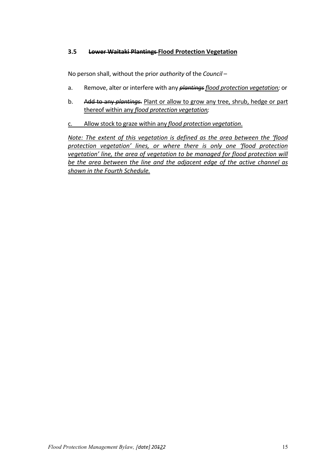#### <span id="page-14-0"></span>**3.5 Lower Waitaki Plantings Flood Protection Vegetation**

No person shall, without the prior *authority* of the *Council* –

- a. Remove, alter or interfere with any *plantings flood protection vegetation;* or
- b. Add to any *plantings*. Plant or allow to grow any tree, shrub, hedge or part thereof within any *flood protection vegetation;*
- c. Allow stock to graze within any *flood protection vegetation*.

*Note: The extent of this vegetation is defined as the area between the 'flood protection vegetation' lines, or where there is only one 'flood protection vegetation' line, the area of vegetation to be managed for flood protection will be the area between the line and the adjacent edge of the active channel as shown in the Fourth Schedule.*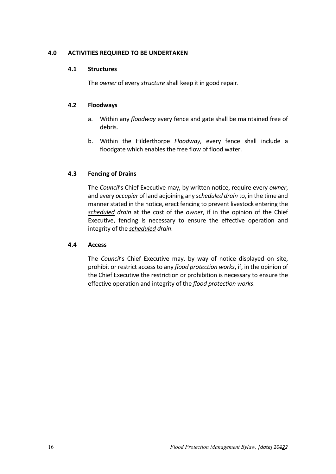#### <span id="page-15-1"></span><span id="page-15-0"></span>**4.0 ACTIVITIES REQUIRED TO BE UNDERTAKEN**

#### **4.1 Structures**

The *owner* of every *structure* shall keep it in good repair.

#### **4.2 Floodways**

- a. Within any *floodway* every fence and gate shall be maintained free of debris.
- b. Within the Hilderthorpe *Floodway,* every fence shall include a floodgate which enables the free flow of flood water.

#### <span id="page-15-2"></span>**4.3 Fencing of Drains**

The *Council*'s Chief Executive may, by written notice, require every *owner*, and every *occupier* of land adjoining any *scheduled drain* to, in the time and manner stated in the notice, erect fencing to prevent livestock entering the *scheduled drain* at the cost of the *owner*, if in the opinion of the Chief Executive, fencing is necessary to ensure the effective operation and integrity of the *scheduled drain*.

#### <span id="page-15-3"></span>**4.4 Access**

The *Council*'s Chief Executive may, by way of notice displayed on site, prohibit or restrict access to any *flood protection works*, if, in the opinion of the Chief Executive the restriction or prohibition is necessary to ensure the effective operation and integrity of the *flood protection works*.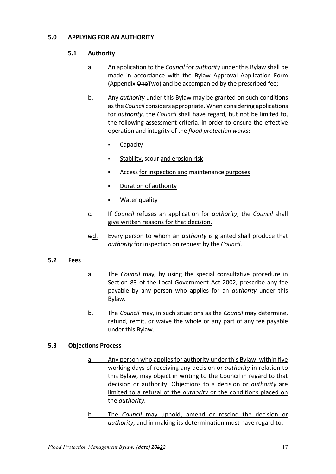#### <span id="page-16-1"></span><span id="page-16-0"></span>**5.0 APPLYING FOR AN AUTHORITY**

#### **5.1 Authority**

- a. An application to the *Council* for *authority* under this Bylaw shall be made in accordance with the Bylaw Approval Application Form (Appendix OneTwo) and be accompanied by the prescribed fee;
- b. Any *authority* under this Bylaw may be granted on such conditions as the *Council* considers appropriate. When considering applications for *authority*, the *Council* shall have regard, but not be limited to, the following assessment criteria, in order to ensure the effective operation and integrity of the *flood protection works*:
	- **Capacity**
	- Stability, scour and erosion risk
	- Access for inspection and maintenance purposes
	- **•** Duration of authority
	- Water quality
- c. If *Council* refuses an application for *authority*, the *Council* shall give written reasons for that decision.
- c.d. Every person to whom an *authority* is granted shall produce that *authority* for inspection on request by the *Council*.

#### <span id="page-16-2"></span>**5.2 Fees**

- a. The *Council* may, by using the special consultative procedure in Section 83 of the Local Government Act 2002, prescribe any fee payable by any person who applies for an *authority* under this Bylaw.
- b. The *Council* may, in such situations as the *Council* may determine, refund, remit, or waive the whole or any part of any fee payable under this Bylaw.

#### <span id="page-16-3"></span>**5.3 Objections Process**

- a. Any person who applies for authority under this Bylaw, within five working days of receiving any decision or *authority* in relation to this Bylaw, may object in writing to the Council in regard to that decision or authority. Objections to a decision or *authority* are limited to a refusal of the *authority* or the conditions placed on the *authority*.
- b. The *Council* may uphold, amend or rescind the decision or *authority*, and in making its determination must have regard to: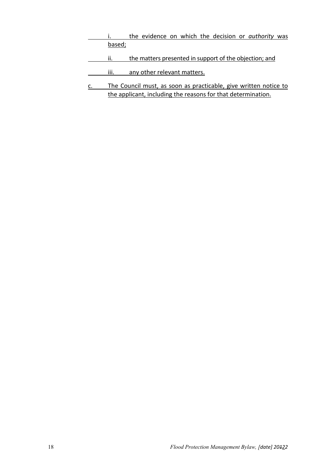|    |                                                                                                                                  | the evidence on which the decision or <i>authority</i> was |  |  |  |
|----|----------------------------------------------------------------------------------------------------------------------------------|------------------------------------------------------------|--|--|--|
|    | based;                                                                                                                           |                                                            |  |  |  |
|    | ii.                                                                                                                              | the matters presented in support of the objection; and     |  |  |  |
|    | $\cdots$<br>Ш.                                                                                                                   | any other relevant matters.                                |  |  |  |
| c. | The Council must, as soon as practicable, give written notice to<br>the applicant, including the reasons for that determination. |                                                            |  |  |  |
|    |                                                                                                                                  |                                                            |  |  |  |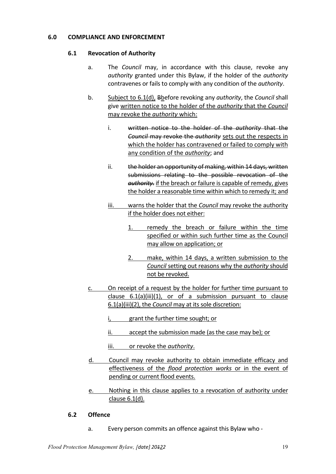#### <span id="page-18-1"></span><span id="page-18-0"></span>**6.0 COMPLIANCE AND ENFORCEMENT**

#### **6.1 Revocation of Authority**

- a. The *Council* may, in accordance with this clause, revoke any *authority* granted under this Bylaw, if the holder of the *authority* contravenes or fails to comply with any condition of the *authority*.
- b. Subject to 6.1(d), Bbefore revoking any *authority*, the *Council* shall give written notice to the holder of the *authority* that the *Council* may revoke the *authority* which:
	- i. written notice to the holder of the *authority* that the *Council* may revoke the *authority* sets out the respects in which the holder has contravened or failed to comply with any condition of the *authority*; and
	- ii. the holder an opportunity of making, within 14 days, written submissions relating to the possible revocation of the *authority*. if the breach or failure is capable of remedy, gives the holder a reasonable time within which to remedy it; and
	- iii. warns the holder that the *Council* may revoke the authority if the holder does not either:
		- 1. remedy the breach or failure within the time specified or within such further time as the Council may allow on application; or
		- 2. make, within 14 days, a written submission to the *Council* setting out reasons why the *authority* should not be revoked.
- c. On receipt of a request by the holder for further time pursuant to clause 6.1(a)(iii)(1), or of a submission pursuant to clause 6.1(a)(iii)(2), the *Council* may at its sole discretion:
	- i, grant the further time sought; or
	- ii. accept the submission made (as the case may be); or
	- iii. or revoke the *authority*.
- d. Council may revoke authority to obtain immediate efficacy and effectiveness of the *flood protection works* or in the event of pending or current flood events.
- e. Nothing in this clause applies to a revocation of authority under clause 6.1(d).

#### <span id="page-18-2"></span>**6.2 Offence**

a. Every person commits an offence against this Bylaw who -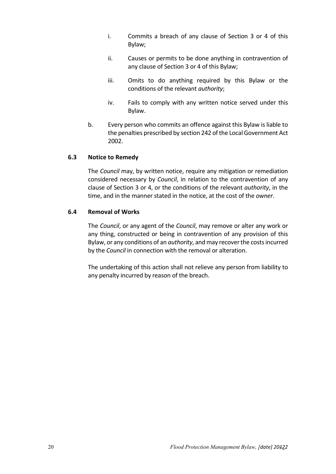- i. Commits a breach of any clause of Section 3 or 4 of this Bylaw;
- ii. Causes or permits to be done anything in contravention of any clause of Section 3 or 4 of this Bylaw;
- iii. Omits to do anything required by this Bylaw or the conditions of the relevant *authority*;
- iv. Fails to comply with any written notice served under this Bylaw.
- b. Every person who commits an offence against this Bylaw is liable to the penalties prescribed by section 242 of the Local Government Act 2002.

#### <span id="page-19-0"></span>**6.3 Notice to Remedy**

The *Council* may, by written notice, require any mitigation or remediation considered necessary by *Council*, in relation to the contravention of any clause of Section 3 or 4, or the conditions of the relevant *authority*, in the time, and in the manner stated in the notice, at the cost of the *owner*.

#### <span id="page-19-1"></span>**6.4 Removal of Works**

The *Council*, or any agent of the *Council*, may remove or alter any work or any thing, constructed or being in contravention of any provision of this Bylaw, or any conditions of an *authority*, and may recover the costs incurred by the *Council* in connection with the removal or alteration.

<span id="page-19-2"></span>The undertaking of this action shall not relieve any person from liability to any penalty incurred by reason of the breach.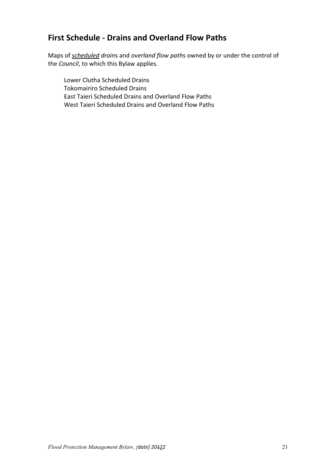## **First Schedule - Drains and Overland Flow Paths**

<span id="page-20-0"></span>Maps of *scheduled drain*s and *overland flow path*s owned by or under the control of the *Council*, to which this Bylaw applies.

Lower Clutha Scheduled Drains Tokomairiro Scheduled Drains East Taieri Scheduled Drains and Overland Flow Paths West Taieri Scheduled Drains and Overland Flow Paths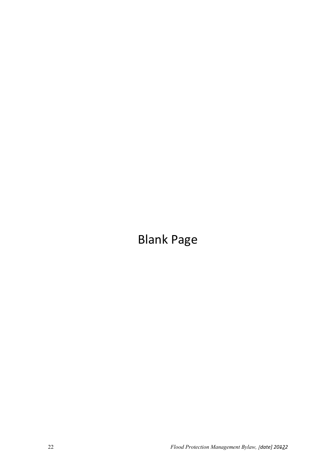## <span id="page-21-0"></span>Blank Page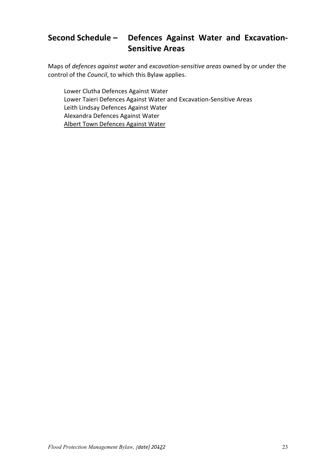## **Second Schedule – Defences Against Water and Excavation-Sensitive Areas**

<span id="page-22-0"></span>Maps of *defences against water* and *excavation-sensitive areas* owned by or under the control of the *Council*, to which this Bylaw applies.

Lower Clutha Defences Against Water Lower Taieri Defences Against Water and Excavation-Sensitive Areas Leith Lindsay Defences Against Water Alexandra Defences Against Water Albert Town Defences Against Water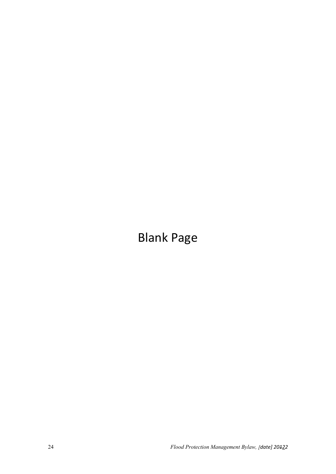<span id="page-23-0"></span>Blank Page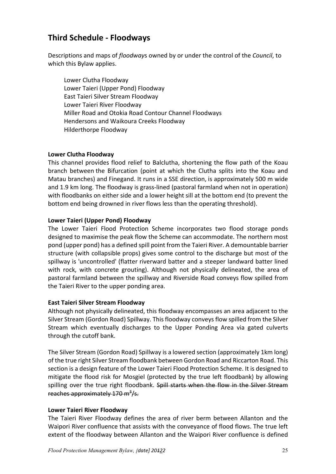## **Third Schedule - Floodways**

<span id="page-24-0"></span>Descriptions and maps of *floodway*s owned by or under the control of the *Council*, to which this Bylaw applies.

Lower Clutha Floodway Lower Taieri (Upper Pond) Floodway East Taieri Silver Stream Floodway Lower Taieri River Floodway Miller Road and Otokia Road Contour Channel Floodways Hendersons and Waikoura Creeks Floodway Hilderthorpe Floodway

#### **Lower Clutha Floodway**

This channel provides flood relief to Balclutha, shortening the flow path of the Koau branch between the Bifurcation (point at which the Clutha splits into the Koau and Matau branches) and Finegand. It runs in a SSE direction, is approximately 500 m wide and 1.9 km long. The floodway is grass-lined (pastoral farmland when not in operation) with floodbanks on either side and a lower height sill at the bottom end (to prevent the bottom end being drowned in river flows less than the operating threshold).

#### **Lower Taieri (Upper Pond) Floodway**

The Lower Taieri Flood Protection Scheme incorporates two flood storage ponds designed to maximise the peak flow the Scheme can accommodate. The northern most pond (upper pond) has a defined spill point from the Taieri River. A demountable barrier structure (with collapsible props) gives some control to the discharge but most of the spillway is 'uncontrolled' (flatter riverward batter and a steeper landward batter lined with rock, with concrete grouting). Although not physically delineated, the area of pastoral farmland between the spillway and Riverside Road conveys flow spilled from the Taieri River to the upper ponding area.

#### **East Taieri Silver Stream Floodway**

Although not physically delineated, this floodway encompasses an area adjacent to the Silver Stream (Gordon Road) Spillway. This floodway conveys flow spilled from the Silver Stream which eventually discharges to the Upper Ponding Area via gated culverts through the cutoff bank.

The Silver Stream (Gordon Road) Spillway is a lowered section (approximately 1km long) of the true right Silver Stream floodbank between Gordon Road and Riccarton Road. This section is a design feature of the Lower Taieri Flood Protection Scheme. It is designed to mitigate the flood risk for Mosgiel (protected by the true left floodbank) by allowing spilling over the true right floodbank. Spill starts when the flow in the Silver Stream reaches approximately  $170 \text{ m}^3$ /s.

#### **Lower Taieri River Floodway**

The Taieri River Floodway defines the area of river berm between Allanton and the Waipori River confluence that assists with the conveyance of flood flows. The true left extent of the floodway between Allanton and the Waipori River confluence is defined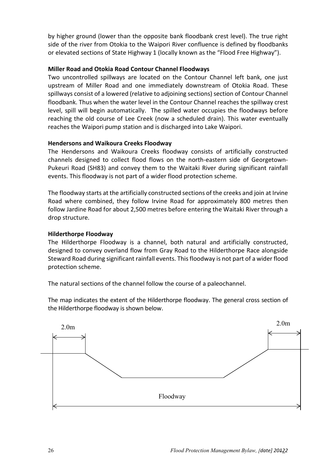by higher ground (lower than the opposite bank floodbank crest level). The true right side of the river from Otokia to the Waipori River confluence is defined by floodbanks or elevated sections of State Highway 1 (locally known as the "Flood Free Highway").

#### **Miller Road and Otokia Road Contour Channel Floodways**

Two uncontrolled spillways are located on the Contour Channel left bank, one just upstream of Miller Road and one immediately downstream of Otokia Road. These spillways consist of a lowered (relative to adjoining sections) section of Contour Channel floodbank. Thus when the water level in the Contour Channel reaches the spillway crest level, spill will begin automatically. The spilled water occupies the floodways before reaching the old course of Lee Creek (now a scheduled drain). This water eventually reaches the Waipori pump station and is discharged into Lake Waipori.

#### **Hendersons and Waikoura Creeks Floodway**

The Hendersons and Waikoura Creeks floodway consists of artificially constructed channels designed to collect flood flows on the north-eastern side of Georgetown-Pukeuri Road (SH83) and convey them to the Waitaki River during significant rainfall events. This floodway is not part of a wider flood protection scheme.

The floodway starts at the artificially constructed sections of the creeks and join at Irvine Road where combined, they follow Irvine Road for approximately 800 metres then follow Jardine Road for about 2,500 metres before entering the Waitaki River through a drop structure.

#### **Hilderthorpe Floodway**

The Hilderthorpe Floodway is a channel, both natural and artificially constructed, designed to convey overland flow from Gray Road to the Hilderthorpe Race alongside Steward Road during significant rainfall events. This floodway is not part of a wider flood protection scheme.

The natural sections of the channel follow the course of a paleochannel.

The map indicates the extent of the Hilderthorpe floodway. The general cross section of the Hilderthorpe floodway is shown below.

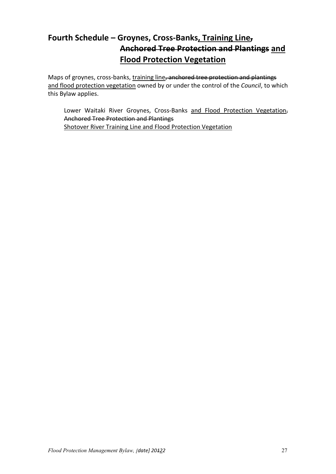## **Fourth Schedule – Groynes, Cross-Banks, Training Line, Anchored Tree Protection and Plantings and Flood Protection Vegetation**

Maps of groynes, cross-banks, training line, anchored tree protection and plantings and flood protection vegetation owned by or under the control of the *Council*, to which this Bylaw applies.

<span id="page-27-0"></span>Lower Waitaki River Groynes, Cross-Banks and Flood Protection Vegetation, Anchored Tree Protection and Plantings Shotover River Training Line and Flood Protection Vegetation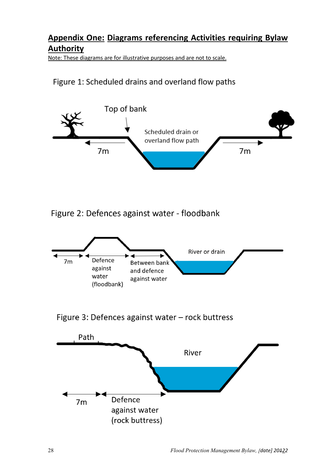## **Appendix One: Diagrams referencing Activities requiring Bylaw Authority**

Note: These diagrams are for illustrative purposes and are not to scale.

## <span id="page-29-0"></span>Figure 1: Scheduled drains and overland flow paths

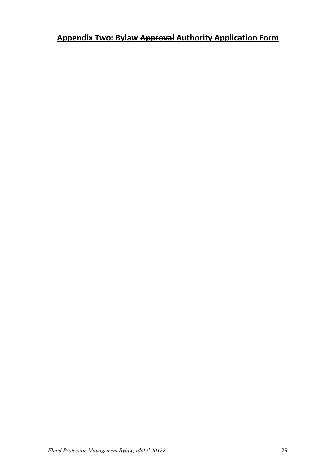**Appendix Two: Bylaw Approval Authority Application Form**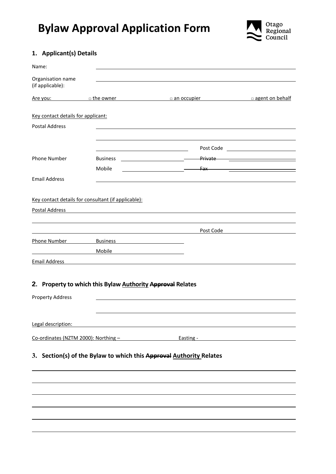

### **1. Applicant(s) Details**

| Name:                                 |                                                            |                                                                     |                                                                                                                      |
|---------------------------------------|------------------------------------------------------------|---------------------------------------------------------------------|----------------------------------------------------------------------------------------------------------------------|
| Organisation name<br>(if applicable): |                                                            |                                                                     |                                                                                                                      |
| Are you:                              | □ the owner                                                | $\Box$ an occupier                                                  | agent on behalf                                                                                                      |
|                                       |                                                            |                                                                     |                                                                                                                      |
| Key contact details for applicant:    |                                                            |                                                                     |                                                                                                                      |
| <b>Postal Address</b>                 |                                                            |                                                                     |                                                                                                                      |
|                                       |                                                            |                                                                     |                                                                                                                      |
|                                       |                                                            | Post Code                                                           | <u> 1980 - Jan Samuel Barbara, politik eta politik eta politik eta politik eta politik eta politik eta politik e</u> |
| <b>Phone Number</b>                   | <b>Business</b>                                            | <u>Private</u>                                                      |                                                                                                                      |
|                                       | Mobile                                                     | <del>-Fax</del>                                                     |                                                                                                                      |
| <b>Email Address</b>                  |                                                            |                                                                     |                                                                                                                      |
|                                       | Key contact details for consultant (if applicable):        |                                                                     |                                                                                                                      |
| Postal Address                        |                                                            |                                                                     |                                                                                                                      |
|                                       |                                                            |                                                                     |                                                                                                                      |
|                                       |                                                            | Post Code                                                           |                                                                                                                      |
| Phone Number                          | <b>Business</b>                                            |                                                                     |                                                                                                                      |
|                                       | Mobile                                                     |                                                                     |                                                                                                                      |
| <b>Email Address</b>                  |                                                            |                                                                     |                                                                                                                      |
|                                       |                                                            |                                                                     |                                                                                                                      |
|                                       | 2. Property to which this Bylaw Authority Approval Relates |                                                                     |                                                                                                                      |
| <b>Property Address</b>               |                                                            |                                                                     |                                                                                                                      |
|                                       |                                                            |                                                                     |                                                                                                                      |
|                                       |                                                            |                                                                     |                                                                                                                      |
| Legal description:                    |                                                            | <u> 1989 - Johann Stein, fransk politik (d. 1989)</u>               |                                                                                                                      |
|                                       |                                                            | Co-ordinates (NZTM 2000): Northing - Fasting - Easting -            |                                                                                                                      |
|                                       |                                                            |                                                                     |                                                                                                                      |
|                                       |                                                            | 3. Section(s) of the Bylaw to which this Approval Authority Relates |                                                                                                                      |
|                                       |                                                            |                                                                     |                                                                                                                      |
|                                       |                                                            |                                                                     |                                                                                                                      |
|                                       |                                                            |                                                                     |                                                                                                                      |
|                                       |                                                            |                                                                     |                                                                                                                      |
|                                       |                                                            |                                                                     |                                                                                                                      |
|                                       |                                                            |                                                                     |                                                                                                                      |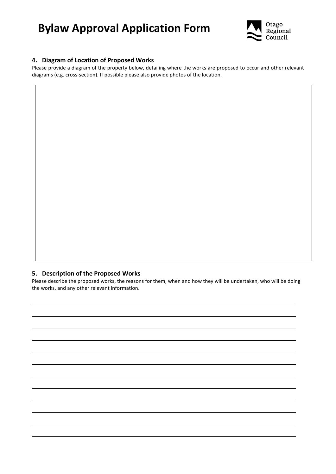## **Bylaw Approval Application Form**



#### **4. Diagram of Location of Proposed Works**

Please provide a diagram of the property below, detailing where the works are proposed to occur and other relevant diagrams (e.g. cross-section). If possible please also provide photos of the location.

#### **5. Description of the Proposed Works**

Please describe the proposed works, the reasons for them, when and how they will be undertaken, who will be doing the works, and any other relevant information.